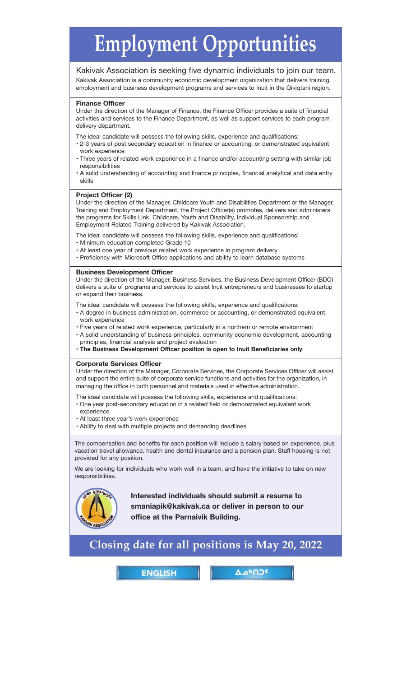# <span id="page-0-0"></span>**[Employment Opportunities](mailto:smaniapik@kakivak.ca)**

# Kakivak Association is seeking five dynamic individuals to join our team.

Kakivak Association is a community economic development organization that delivers training, employment and business development programs and services to Inuit in the Qikiqtani region.

### **Finance Officer**

Under the direction of the Manager of Finance, the Finance Officer provides a suite of financial activities and services to the Finance Department, as well as support services to each program delivery department.

The ideal candidate will possess the following skills, experience and qualifications:

- 2-3 years of post secondary education in finance or accounting, or demonstrated equivalent work experience
- Three years of related work experience in a finance and/or accounting setting with similar job responsibilities
- A solid understanding of accounting and finance principles, financial analytical and data entry skills

## **Project Officer (2)**

Under the direction of the Manager, Childcare Youth and Disabilities Department or the Manager, Training and Employment Department, the Project Officer(s) promotes, delivers and administers the programs for Skills Link, Childcare, Youth and Disability, Individual Sponsorship and Employment Related Training delivered by Kakivak Association.

The ideal candidate will possess the following skills, experience and qualifications:

- Minimum education completed Grade 10
- At least one year of previous related work experience in program delivery
- Proficiency with Microsoft Office applications and ability to learn database systems

### **Business Development Officer**

Under the direction of the Manager, Business Services, the Business Development Officer (BDO) delivers a suite of programs and services to assist Inuit entrepreneurs and businesses to startup or expand their business.

The ideal candidate will possess the following skills, experience and qualifications:

- A degree in business administration, commerce or accounting, or demonstrated equivalent work experience
- Five years of related work experience, particularly in a northern or remote environment
- A solid understanding of business principles, community economic development, accounting principles, financial analysis and project evaluation
- **The Business Development Officer position is open to Inuit Beneficiaries only**

### **Corporate Services Officer**

Under the direction of the Manager, Corporate Services, the Corporate Services Officer will assist and support the entire suite of corporate service functions and activities for the organization, in managing the office in both personnel and materials used in effective administration.

The ideal candidate will possess the following skills, experience and qualifications:

- One year post-secondary education in a related field or demonstrated equivalent work experience
- At least three year's work experience
- Ability to deal with multiple projects and demanding deadlines

The compensation and benefits for each position will include a salary based on experience, plus vacation travel allowance, health and dental insurance and a pension plan. Staff housing is not provided for any position.

We are looking for individuals who work well in a team, and have the initiative to take on new responsibilities.



**Interested individuals should submit a resume to smaniapik@kakivak.ca or deliver in person to our office at the Parnaivik Building.**

# **Closing date for all positions is May 20, 2022**

ENGLISH <u>|</u> Δρ<sup>6</sup>ΠΟς